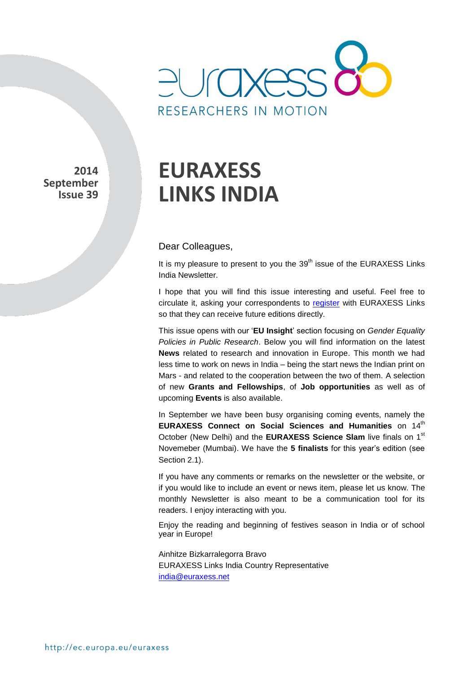

**2014 September Issue 39** 

## **EURAXESS LINKS INDIA**

## Dear Colleagues,

It is my pleasure to present to you the  $39<sup>th</sup>$  issue of the EURAXESS Links India Newsletter.

I hope that you will find this issue interesting and useful. Feel free to circulate it, asking your correspondents to [register](http://europa.eu/sinapse/directaccess/euraxess-links-india/join) with EURAXESS Links so that they can receive future editions directly.

This issue opens with our '**EU Insight**' section focusing on *Gender Equality Policies in Public Research*. Below you will find information on the latest **News** related to research and innovation in Europe. This month we had less time to work on news in India – being the start news the Indian print on Mars - and related to the cooperation between the two of them. A selection of new **Grants and Fellowships**, of **Job opportunities** as well as of upcoming **Events** is also available.

In September we have been busy organising coming events, namely the **EURAXESS Connect on Social Sciences and Humanities on 14th** October (New Delhi) and the **EURAXESS Science Slam** live finals on 1st Novemeber (Mumbai). We have the **5 finalists** for this year's edition (see Section 2.1).

If you have any comments or remarks on the newsletter or the website, or if you would like to include an event or news item, please let us know. The monthly Newsletter is also meant to be a communication tool for its readers. I enjoy interacting with you.

Enjoy the reading and beginning of festives season in India or of school year in Europe!

Ainhitze Bizkarralegorra Bravo EURAXESS Links India Country Representative india@euraxess.net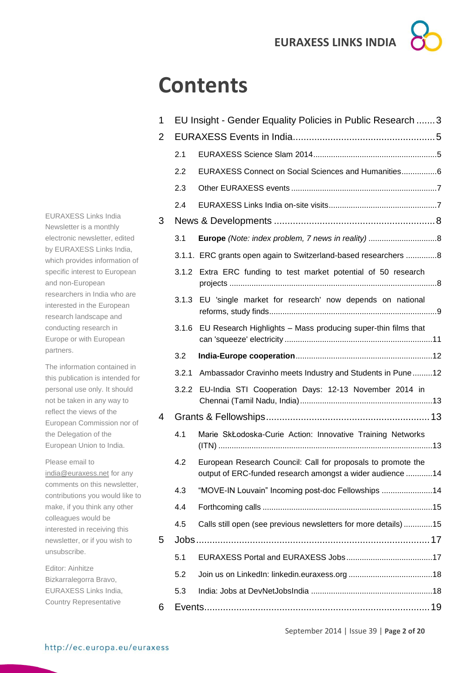## **Contents**

| 1 | EU Insight - Gender Equality Policies in Public Research  3 |                                                                                                                           |  |  |
|---|-------------------------------------------------------------|---------------------------------------------------------------------------------------------------------------------------|--|--|
| 2 |                                                             |                                                                                                                           |  |  |
|   | 2.1                                                         |                                                                                                                           |  |  |
|   | 2.2                                                         | EURAXESS Connect on Social Sciences and Humanities6                                                                       |  |  |
|   | 2.3                                                         |                                                                                                                           |  |  |
|   | 2.4                                                         |                                                                                                                           |  |  |
| 3 |                                                             |                                                                                                                           |  |  |
|   | 3.1                                                         |                                                                                                                           |  |  |
|   |                                                             | 3.1.1. ERC grants open again to Switzerland-based researchers 8                                                           |  |  |
|   |                                                             | 3.1.2 Extra ERC funding to test market potential of 50 research                                                           |  |  |
|   | 3.1.3                                                       | EU 'single market for research' now depends on national                                                                   |  |  |
|   | 3.1.6                                                       | EU Research Highlights - Mass producing super-thin films that                                                             |  |  |
|   | 3.2                                                         |                                                                                                                           |  |  |
|   | 3.2.1                                                       | Ambassador Cravinho meets Industry and Students in Pune12                                                                 |  |  |
|   | 3.2.2                                                       | EU-India STI Cooperation Days: 12-13 November 2014 in                                                                     |  |  |
| 4 |                                                             |                                                                                                                           |  |  |
|   | 4.1                                                         | Marie SkŁodoska-Curie Action: Innovative Training Networks                                                                |  |  |
|   | 4.2                                                         | European Research Council: Call for proposals to promote the<br>output of ERC-funded research amongst a wider audience 14 |  |  |
|   | 4.3                                                         | "MOVE-IN Louvain" Incoming post-doc Fellowships 14                                                                        |  |  |
|   | 4.4                                                         |                                                                                                                           |  |  |
|   | 4.5                                                         | Calls still open (see previous newsletters for more details)15                                                            |  |  |
| 5 |                                                             |                                                                                                                           |  |  |
|   | 5.1                                                         |                                                                                                                           |  |  |
|   | 5.2                                                         |                                                                                                                           |  |  |
|   | 5.3                                                         |                                                                                                                           |  |  |
| 6 |                                                             |                                                                                                                           |  |  |

EURAXESS Links India Newsletter is a monthly electronic newsletter, edited by EURAXESS Links India, which provides information of specific interest to European and non-European researchers in India who are interested in the European research landscape and conducting research in Europe or with European partners.

The information contained in this publication is intended for personal use only. It should not be taken in any way to reflect the views of the European Commission nor of the Delegation of the European Union to India.

Please email to [india@euraxess.net](mailto:india@euraxess.net) for any comments on this newsletter, contributions you would like to make, if you think any other colleagues would be interested in receiving this newsletter, or if you wish to unsubscribe.

Editor: Ainhitze Bizkarralegorra Bravo, EURAXESS Links India, Country Representative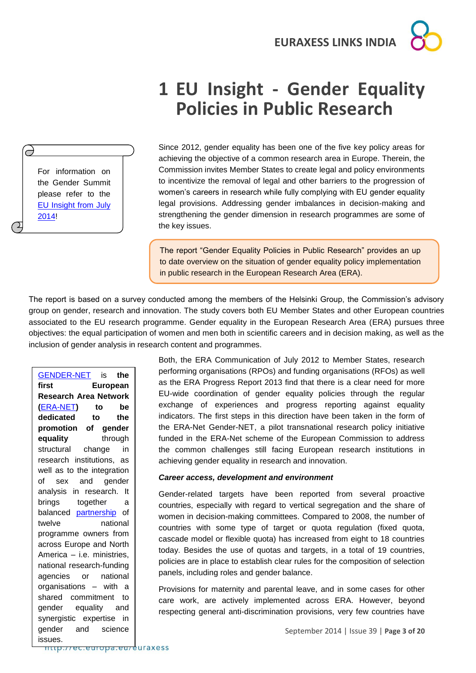

## <span id="page-2-0"></span>**1 EU Insight - Gender Equality Policies in Public Research**

For information on the Gender Summit please refer to the [EU Insight from July](http://www.google.de/url?sa=t&rct=j&q=&esrc=s&source=web&cd=1&ved=0CCMQFjAA&url=http%3A%2F%2Fec.europa.eu%2Feuraxess%2Fdata%2Flinks%2Fbrazil%2Fdocs%2FEUInsightJuly2014GenderSummit.pdf&ei=y0IqVPbcEZPTaJu_gcgF&usg=AFQjCNHRim-3FqM0eToATwznIBbTWDrFKA&bvm=bv.76477589,d.d2s)  [2014!](http://www.google.de/url?sa=t&rct=j&q=&esrc=s&source=web&cd=1&ved=0CCMQFjAA&url=http%3A%2F%2Fec.europa.eu%2Feuraxess%2Fdata%2Flinks%2Fbrazil%2Fdocs%2FEUInsightJuly2014GenderSummit.pdf&ei=y0IqVPbcEZPTaJu_gcgF&usg=AFQjCNHRim-3FqM0eToATwznIBbTWDrFKA&bvm=bv.76477589,d.d2s)

 $\Theta$ 

Since 2012, gender equality has been one of the five key policy areas for achieving the objective of a common research area in Europe. Therein, the Commission invites Member States to create legal and policy environments to incentivize the removal of legal and other barriers to the progression of women's careers in research while fully complying with EU gender equality legal provisions. Addressing gender imbalances in decision-making and strengthening the gender dimension in research programmes are some of the key issues.

The report "Gender Equality Policies in Public Research" provides an up to date overview on the situation of gender equality policy implementation in public research in the European Research Area (ERA).

The report is based on a survey conducted among the members of the Helsinki Group, the Commission's advisory group on gender, research and innovation. The study covers both EU Member States and other European countries associated to the EU research programme. Gender equality in the European Research Area (ERA) pursues three objectives: the equal participation of women and men both in scientific careers and in decision making, as well as the inclusion of gender analysis in research content and programmes.

[GENDER-NET](http://www.gender-net.eu/?lang=en) is **the first European Research Area Network (**[ERA-NET](http://cordis.europa.eu/fp7/coordination/about-era_en.html)**) to be dedicated to the promotion of gender equality** through structural change in research institutions, as well as to the integration of sex and gender analysis in research. It brings together a balanced [partnership](http://www.gender-net.eu/spip.php?rubrique27) of twelve national programme owners from across Europe and North America – i.e. ministries, national research-funding agencies or national organisations – with a shared commitment to gender equality and synergistic expertise in gender and science

Both, the ERA Communication of July 2012 to Member States, research performing organisations (RPOs) and funding organisations (RFOs) as well as the ERA Progress Report 2013 find that there is a clear need for more EU-wide coordination of gender equality policies through the regular exchange of experiences and progress reporting against equality indicators. The first steps in this direction have been taken in the form of the ERA-Net Gender-NET, a pilot transnational research policy initiative funded in the ERA-Net scheme of the European Commission to address the common challenges still facing European research institutions in achieving gender equality in research and innovation.

#### *Career access, development and environment*

Gender-related targets have been reported from several proactive countries, especially with regard to vertical segregation and the share of women in decision-making committees. Compared to 2008, the number of countries with some type of target or quota regulation (fixed quota, cascade model or flexible quota) has increased from eight to 18 countries today. Besides the use of quotas and targets, in a total of 19 countries, policies are in place to establish clear rules for the composition of selection panels, including roles and gender balance.

Provisions for maternity and parental leave, and in some cases for other care work, are actively implemented across ERA. However, beyond respecting general anti-discrimination provisions, very few countries have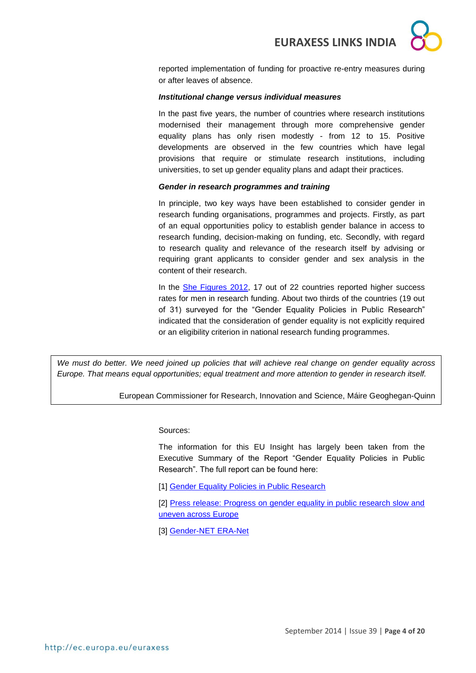

reported implementation of funding for proactive re-entry measures during or after leaves of absence.

#### *Institutional change versus individual measures*

In the past five years, the number of countries where research institutions modernised their management through more comprehensive gender equality plans has only risen modestly - from 12 to 15. Positive developments are observed in the few countries which have legal provisions that require or stimulate research institutions, including universities, to set up gender equality plans and adapt their practices.

### *Gender in research programmes and training*

In principle, two key ways have been established to consider gender in research funding organisations, programmes and projects. Firstly, as part of an equal opportunities policy to establish gender balance in access to research funding, decision-making on funding, etc. Secondly, with regard to research quality and relevance of the research itself by advising or requiring grant applicants to consider gender and sex analysis in the content of their research.

In the **She Figures 2012**, 17 out of 22 countries reported higher success rates for men in research funding. About two thirds of the countries (19 out of 31) surveyed for the "Gender Equality Policies in Public Research" indicated that the consideration of gender equality is not explicitly required or an eligibility criterion in national research funding programmes.

*We must do better. We need joined up policies that will achieve real change on gender equality across Europe. That means equal opportunities; equal treatment and more attention to gender in research itself.*

European Commissioner for Research, Innovation and Science, Máire Geoghegan-Quinn

Sources:

The information for this EU Insight has largely been taken from the Executive Summary of the Report "Gender Equality Policies in Public Research". The full report can be found here:

[1] [Gender Equality Policies in Public Research](http://www.google.de/url?sa=t&rct=j&q=&esrc=s&source=web&cd=1&cad=rja&uact=8&ved=0CCMQFjAA&url=http%3A%2F%2Fec.europa.eu%2Fresearch%2Fpdf%2F199627_2014%25202971_rtd_report.pdf&ei=VF0qVIiAFojnavLvgIAB&usg=AFQjCNEY4FwF4-sGhPS4WrFXSt5OWVyqoA&sig2=D1HeyFvOfaa8S_omtBWL7Q&bvm=bv.76477589,d.d2s)

[2] [Press release: Progress on gender equality in public research slow and](http://ec.europa.eu/research/index.cfm?pg=newsalert&year=2014&na=na-030914)  [uneven across Europe](http://ec.europa.eu/research/index.cfm?pg=newsalert&year=2014&na=na-030914)

[3] [Gender-NET ERA-Net](http://www.gender-net.eu/?lang=en)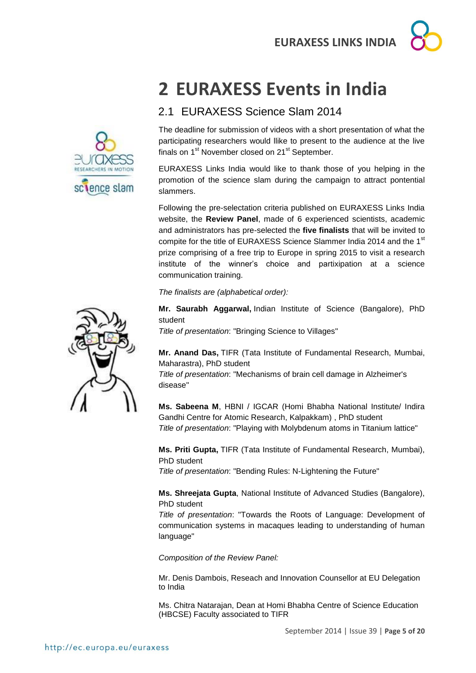## <span id="page-4-0"></span>**2 EURAXESS Events in India**

## <span id="page-4-1"></span>2.1 EURAXESS Science Slam 2014

The deadline for submission of videos with a short presentation of what the participating researchers would llike to present to the audience at the live finals on 1<sup>st</sup> November closed on 21<sup>st</sup> September.

EURAXESS Links India would like to thank those of you helping in the promotion of the science slam during the campaign to attract pontential slammers.

Following the pre-selectation criteria published on EURAXESS Links India website, the **Review Panel**, made of 6 experienced scientists, academic and administrators has pre-selected the **five finalists** that will be invited to compite for the title of EURAXESS Science Slammer India 2014 and the 1<sup>st</sup> prize comprising of a free trip to Europe in spring 2015 to visit a research institute of the winner's choice and partixipation at a science communication training.

*The finalists are (alphabetical order):* 

**Mr. Saurabh Aggarwal,** Indian Institute of Science (Bangalore), PhD student

*Title of presentation*: "Bringing Science to Villages"

**Mr. Anand Das,** TIFR (Tata Institute of Fundamental Research, Mumbai, Maharastra), PhD student

*Title of presentation*: "Mechanisms of brain cell damage in Alzheimer's disease"

**Ms. Sabeena M**, HBNI / IGCAR (Homi Bhabha National Institute/ Indira Gandhi Centre for Atomic Research, Kalpakkam) , PhD student *Title of presentation*: "Playing with Molybdenum atoms in Titanium lattice"

**Ms. Priti Gupta,** TIFR (Tata Institute of Fundamental Research, Mumbai), PhD student

*Title of presentation*: "Bending Rules: N-Lightening the Future"

**Ms. Shreejata Gupta**, National Institute of Advanced Studies (Bangalore), PhD student

*Title of presentation*: "Towards the Roots of Language: Development of communication systems in macaques leading to understanding of human language"

*Composition of the Review Panel:*

Mr. Denis Dambois, Reseach and Innovation Counsellor at EU Delegation to India

Ms. Chitra Natarajan, Dean at Homi Bhabha Centre of Science Education (HBCSE) Faculty associated to TIFR



sclence slam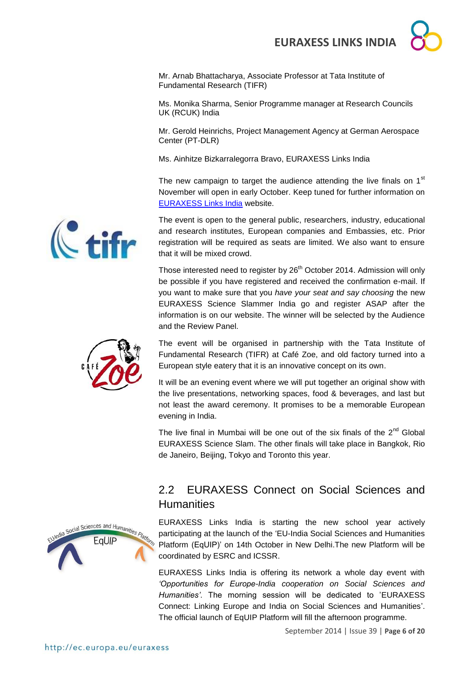Mr. Arnab Bhattacharya, Associate Professor at Tata Institute of Fundamental Research (TIFR)

Ms. Monika Sharma, Senior Programme manager at Research Councils UK (RCUK) India

Mr. Gerold Heinrichs, Project Management Agency at German Aerospace Center (PT-DLR)

Ms. Ainhitze Bizkarralegorra Bravo, EURAXESS Links India

The new campaign to target the audience attending the live finals on  $1<sup>st</sup>$ November will open in early October. Keep tuned for further information on [EURAXESS Links India](http://ec.europa.eu/euraxess/index.cfm/links/events/india/science_slam) website.

The event is open to the general public, researchers, industry, educational and research institutes, European companies and Embassies, etc. Prior registration will be required as seats are limited. We also want to ensure that it will be mixed crowd.

Those interested need to register by  $26<sup>th</sup>$  October 2014. Admission will only be possible if you have registered and received the confirmation e-mail. If you want to make sure that you *have your seat and say choosing* the new EURAXESS Science Slammer India go and register ASAP after the information is on our website. The winner will be selected by the Audience and the Review Panel.



The event will be organised in partnership with the Tata Institute of Fundamental Research (TIFR) at Café Zoe, and old factory turned into a European style eatery that it is an innovative concept on its own.

It will be an evening event where we will put together an original show with the live presentations, networking spaces, food & beverages, and last but not least the award ceremony. It promises to be a memorable European evening in India.

The live final in Mumbai will be one out of the six finals of the  $2^{nd}$  Global EURAXESS Science Slam. The other finals will take place in Bangkok, Rio de Janeiro, Beijing, Tokyo and Toronto this year.

# Social Sciences and Humanities EaUIP

## <span id="page-5-0"></span>2.2 EURAXESS Connect on Social Sciences and **Humanities**

EURAXESS Links India is starting the new school year actively participating at the launch of the 'EU-India Social Sciences and Humanities Platform (EqUIP)' on 14th October in New Delhi.The new Platform will be coordinated by ESRC and ICSSR.

EURAXESS Links India is offering its network a whole day event with *'Opportunities for Europe-India cooperation on Social Sciences and Humanities'*. The morning session will be dedicated to 'EURAXESS Connect: Linking Europe and India on Social Sciences and Humanities'. The official launch of EqUIP Platform will fill the afternoon programme.

 $\mathbb{C}$  +il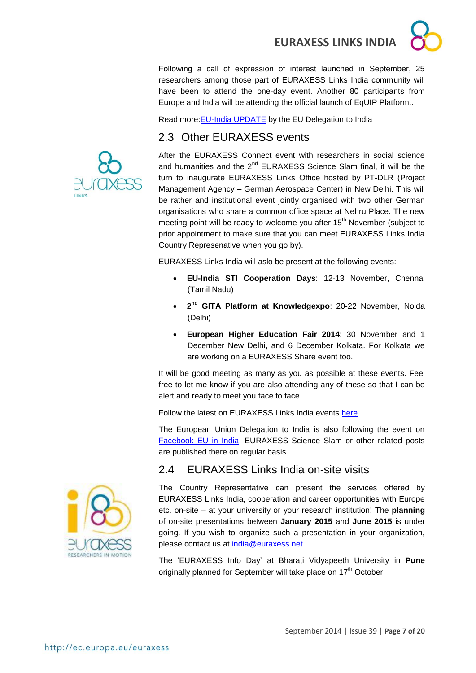Following a call of expression of interest launched in September, 25 researchers among those part of EURAXESS Links India community will have been to attend the one-day event. Another 80 participants from Europe and India will be attending the official launch of EqUIP Platform..

Read more[:EU-India UPDATE](http://euindiaenewsletter.com/Vol_7_August_2014/EqUIP.html) by the EU Delegation to India

## <span id="page-6-0"></span>2.3 Other EURAXESS events



After the EURAXESS Connect event with researchers in social science and humanities and the  $2^{nd}$  EURAXESS Science Slam final, it will be the turn to inaugurate EURAXESS Links Office hosted by PT-DLR (Project Management Agency – German Aerospace Center) in New Delhi. This will be rather and institutional event jointly organised with two other German organisations who share a common office space at Nehru Place. The new meeting point will be ready to welcome you after 15<sup>th</sup> November (subject to prior appointment to make sure that you can meet EURAXESS Links India Country Represenative when you go by).

EURAXESS Links India will aslo be present at the following events:

- **EU-India STI Cooperation Days**: 12-13 November, Chennai (Tamil Nadu)
- **2 nd GITA Platform at Knowledgexpo**: 20-22 November, Noida (Delhi)
- **European Higher Education Fair 2014**: 30 November and 1 December New Delhi, and 6 December Kolkata. For Kolkata we are working on a EURAXESS Share event too.

It will be good meeting as many as you as possible at these events. Feel free to let me know if you are also attending any of these so that I can be alert and ready to meet you face to face.

Follow the latest on EURAXESS Links India events [here.](http://ec.europa.eu/euraxess/index.cfm/links/events/india)

The European Union Delegation to India is also following the event on [Facebook EU in India.](https://www.facebook.com/EUinIndia) EURAXESS Science Slam or other related posts are published there on regular basis.

## <span id="page-6-1"></span>2.4 EURAXESS Links India on-site visits



The 'EURAXESS Info Day' at Bharati Vidyapeeth University in **Pune** originally planned for September will take place on 17<sup>th</sup> October.

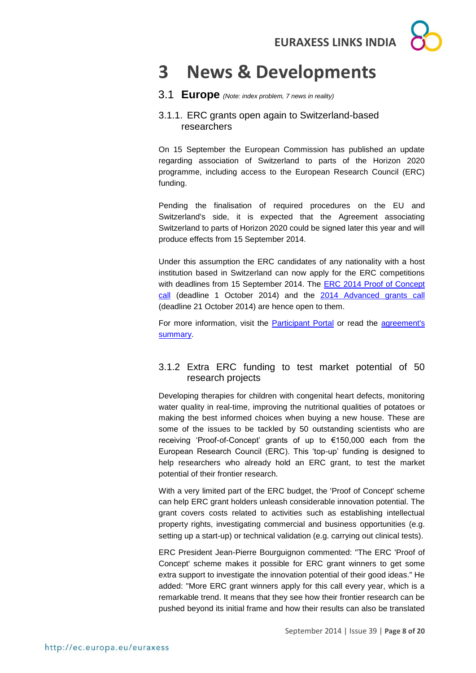

## <span id="page-7-0"></span>**3 News & Developments**

## <span id="page-7-1"></span>3.1 **Europe** *(Note: index problem, 7 news in reality)*

## <span id="page-7-2"></span>3.1.1. ERC grants open again to Switzerland-based researchers

On 15 September the European Commission has published an update regarding association of Switzerland to parts of the Horizon 2020 programme, including access to the European Research Council (ERC) funding.

Pending the finalisation of required procedures on the EU and Switzerland's side, it is expected that the Agreement associating Switzerland to parts of Horizon 2020 could be signed later this year and will produce effects from 15 September 2014.

Under this assumption the ERC candidates of any nationality with a host institution based in Switzerland can now apply for the ERC competitions with deadlines from 15 September 2014. The **ERC 2014 Proof of Concept** [call](http://ec.europa.eu/research/participants/portal/desktop/en/opportunities/h2020/calls/erc-2014-poc.html) (deadline 1 October 2014) and the [2014 Advanced grants call](http://ec.europa.eu/research/participants/portal/desktop/en/opportunities/h2020/calls/erc-2014-adg.html) (deadline 21 October 2014) are hence open to them.

For more information, visit the [Participant Portal](http://ec.europa.eu/research/participants/portal/desktop/en/support/about.html) or read the agreement's [summary.](http://ec.europa.eu/research/participants/data/ref/h2020/other/hi/h2020-hi-swiss-part_en.pdf)

## <span id="page-7-3"></span>3.1.2 Extra ERC funding to test market potential of 50 research projects

Developing therapies for children with congenital heart defects, monitoring water quality in real-time, improving the nutritional qualities of potatoes or making the best informed choices when buying a new house. These are some of the issues to be tackled by 50 outstanding scientists who are receiving 'Proof-of-Concept' grants of up to €150,000 each from the European Research Council (ERC). This 'top-up' funding is designed to help researchers who already hold an ERC grant, to test the market potential of their frontier research.

With a very limited part of the ERC budget, the 'Proof of Concept' scheme can help ERC grant holders unleash considerable innovation potential. The grant covers costs related to activities such as establishing intellectual property rights, investigating commercial and business opportunities (e.g. setting up a start-up) or technical validation (e.g. carrying out clinical tests).

ERC President Jean-Pierre Bourguignon commented: "The ERC 'Proof of Concept' scheme makes it possible for ERC grant winners to get some extra support to investigate the innovation potential of their good ideas." He added: "More ERC grant winners apply for this call every year, which is a remarkable trend. It means that they see how their frontier research can be pushed beyond its initial frame and how their results can also be translated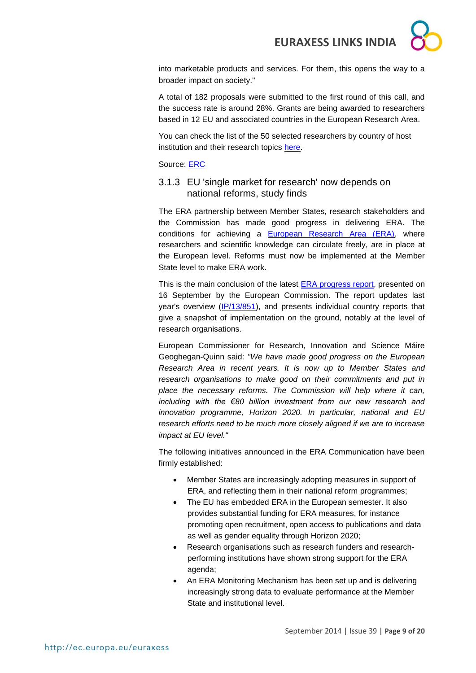into marketable products and services. For them, this opens the way to a broader impact on society."

A total of 182 proposals were submitted to the first round of this call, and the success rate is around 28%. Grants are being awarded to researchers based in 12 EU and associated countries in the European Research Area.

You can check the list of the 50 selected researchers by country of host institution and their research topics [here.](http://erc.europa.eu/sites/default/files/press_release/files/erc_list_poc_2014_first_results.pdf)

Source: [ERC](http://erc.europa.eu/)

## <span id="page-8-0"></span>3.1.3 EU 'single market for research' now depends on national reforms, study finds

The ERA partnership between Member States, research stakeholders and the Commission has made good progress in delivering ERA. The conditions for achieving a **European Research Area (ERA)**, where researchers and scientific knowledge can circulate freely, are in place at the European level. Reforms must now be implemented at the Member State level to make ERA work.

This is the main conclusion of the latest **ERA progress report**, presented on 16 September by the European Commission. The report updates last year's overview [\(IP/13/851\)](http://europa.eu/rapid/press-release_IP-13-851_en.htm), and presents individual country reports that give a snapshot of implementation on the ground, notably at the level of research organisations.

European Commissioner for Research, Innovation and Science Máire Geoghegan-Quinn said: *"We have made good progress on the European Research Area in recent years. It is now up to Member States and research organisations to make good on their commitments and put in place the necessary reforms. The Commission will help where it can, including with the €80 billion investment from our new research and innovation programme, Horizon 2020. In particular, national and EU research efforts need to be much more closely aligned if we are to increase impact at EU level."*

The following initiatives announced in the ERA Communication have been firmly established:

- Member States are increasingly adopting measures in support of ERA, and reflecting them in their national reform programmes;
- The EU has embedded ERA in the European semester. It also provides substantial funding for ERA measures, for instance promoting open recruitment, open access to publications and data as well as gender equality through Horizon 2020;
- Research organisations such as research funders and researchperforming institutions have shown strong support for the ERA agenda;
- An ERA Monitoring Mechanism has been set up and is delivering increasingly strong data to evaluate performance at the Member State and institutional level.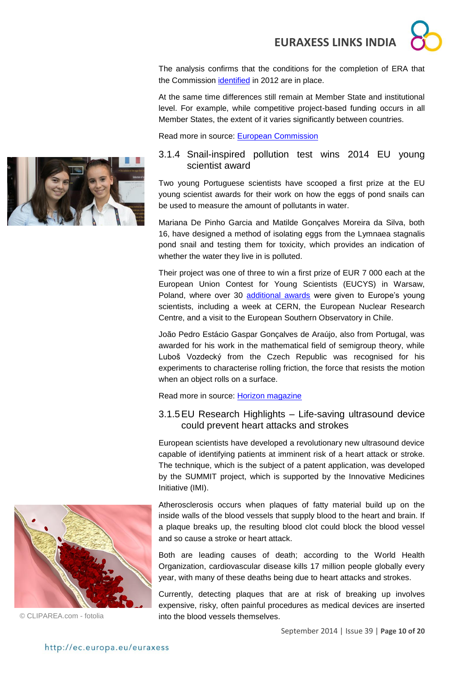The analysis confirms that the conditions for the completion of ERA that the Commission [identified](http://ec.europa.eu/research/era/pdf/era-communication/era-communication_en.pdf) in 2012 are in place.

At the same time differences still remain at Member State and institutional level. For example, while competitive project-based funding occurs in all Member States, the extent of it varies significantly between countries.

Read more in source: [European Commission](http://europa.eu/rapid/press-release_IP-14-1003_en.htm)

### 3.1.4 Snail-inspired pollution test wins 2014 EU young scientist award

Two young Portuguese scientists have scooped a first prize at the EU young scientist awards for their work on how the eggs of pond snails can be used to measure the amount of pollutants in water.

Mariana De Pinho Garcia and Matilde Gonçalves Moreira da Silva, both 16, have designed a method of isolating eggs from the Lymnaea stagnalis pond snail and testing them for toxicity, which provides an indication of whether the water they live in is polluted.

Their project was one of three to win a first prize of EUR 7 000 each at the European Union Contest for Young Scientists (EUCYS) in Warsaw, Poland, where over 30 [additional awards](http://ec.europa.eu/research/eucys/2014/pdf/eucys_2014_annex_prize-winners.pdf#view=fit&pagemode=none) were given to Europe's young scientists, including a week at CERN, the European Nuclear Research Centre, and a visit to the European Southern Observatory in Chile.

João Pedro Estácio Gaspar Gonçalves de Araújo, also from Portugal, was awarded for his work in the mathematical field of semigroup theory, while Luboš Vozdecký from the Czech Republic was recognised for his experiments to characterise rolling friction, the force that resists the motion when an object rolls on a surface.

Read more in source: [Horizon magazine](http://horizon-magazine.eu/article/snail-inspired-pollution-test-wins-2014-eu-young-scientist-award_en.html)

## 3.1.5EU Research Highlights – Life-saving ultrasound device could prevent heart attacks and strokes

European scientists have developed a revolutionary new ultrasound device capable of identifying patients at imminent risk of a heart attack or stroke. The technique, which is the subject of a patent application, was developed by the SUMMIT project, which is supported by the Innovative Medicines Initiative (IMI).

Atherosclerosis occurs when plaques of fatty material build up on the inside walls of the blood vessels that supply blood to the heart and brain. If a plaque breaks up, the resulting blood clot could block the blood vessel and so cause a stroke or heart attack.

Both are leading causes of death; according to the World Health Organization, cardiovascular disease kills 17 million people globally every year, with many of these deaths being due to heart attacks and strokes.

Currently, detecting plaques that are at risk of breaking up involves expensive, risky, often painful procedures as medical devices are inserted © CLIPAREA.com - fotolia into the blood vessels themselves.



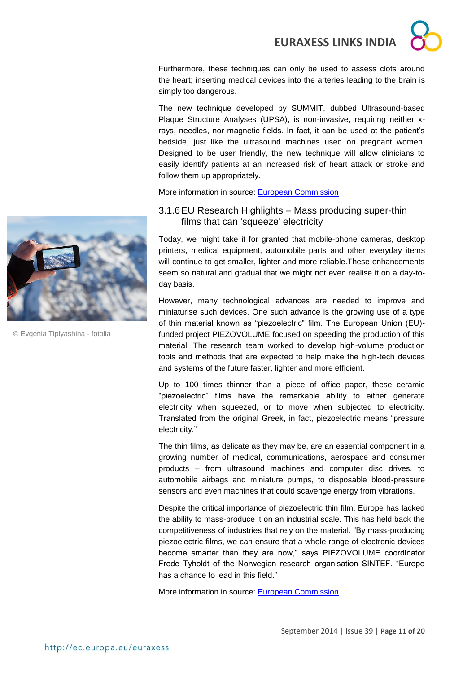Furthermore, these techniques can only be used to assess clots around the heart; inserting medical devices into the arteries leading to the brain is simply too dangerous.

The new technique developed by SUMMIT, dubbed Ultrasound-based Plaque Structure Analyses (UPSA), is non-invasive, requiring neither xrays, needles, nor magnetic fields. In fact, it can be used at the patient's bedside, just like the ultrasound machines used on pregnant women. Designed to be user friendly, the new technique will allow clinicians to easily identify patients at an increased risk of heart attack or stroke and follow them up appropriately.

More information in source: European Commission



© Evgenia Tiplyashina - fotolia

## <span id="page-10-0"></span>3.1.6EU Research Highlights – Mass producing super-thin films that can 'squeeze' electricity

Today, we might take it for granted that mobile-phone cameras, desktop printers, medical equipment, automobile parts and other everyday items will continue to get smaller, lighter and more reliable.These enhancements seem so natural and gradual that we might not even realise it on a day-today basis.

However, many technological advances are needed to improve and miniaturise such devices. One such advance is the growing use of a type of thin material known as "piezoelectric" film. The European Union (EU) funded project PIEZOVOLUME focused on speeding the production of this material. The research team worked to develop high-volume production tools and methods that are expected to help make the high-tech devices and systems of the future faster, lighter and more efficient.

Up to 100 times thinner than a piece of office paper, these ceramic "piezoelectric" films have the remarkable ability to either generate electricity when squeezed, or to move when subjected to electricity. Translated from the original Greek, in fact, piezoelectric means "pressure electricity."

The thin films, as delicate as they may be, are an essential component in a growing number of medical, communications, aerospace and consumer products – from ultrasound machines and computer disc drives, to automobile airbags and miniature pumps, to disposable blood-pressure sensors and even machines that could scavenge energy from vibrations.

Despite the critical importance of piezoelectric thin film, Europe has lacked the ability to mass-produce it on an industrial scale. This has held back the competitiveness of industries that rely on the material. "By mass-producing piezoelectric films, we can ensure that a whole range of electronic devices become smarter than they are now," says PIEZOVOLUME coordinator Frode Tyholdt of the Norwegian research organisation SINTEF. "Europe has a chance to lead in this field."

More information in source: [European Commission](http://ec.europa.eu/research/infocentre/article_en.cfm?id=/research/headlines/news/article_14_09_12_en.html?infocentre&item=All&artid=32760&caller=AllHeadlines)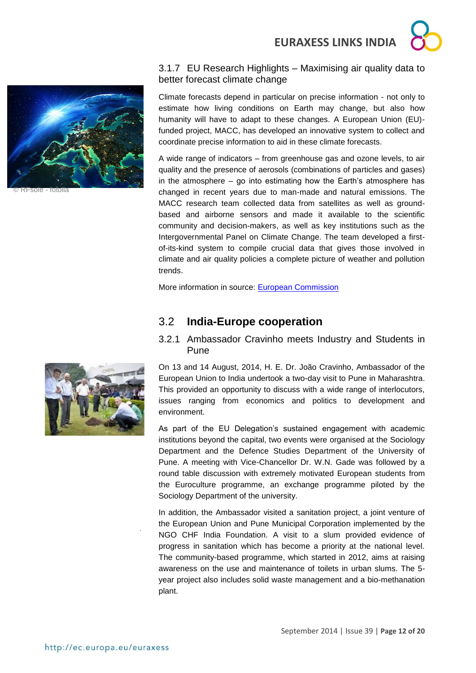



© RFsole - fotolia

## 3.1.7 EU Research Highlights – Maximising air quality data to better forecast climate change

Climate forecasts depend in particular on precise information - not only to estimate how living conditions on Earth may change, but also how humanity will have to adapt to these changes. A European Union (EU) funded project, MACC, has developed an innovative system to collect and coordinate precise information to aid in these climate forecasts.

A wide range of indicators – from greenhouse gas and ozone levels, to air quality and the presence of aerosols (combinations of particles and gases) in the atmosphere – go into estimating how the Earth's atmosphere has changed in recent years due to man-made and natural emissions. The MACC research team collected data from satellites as well as groundbased and airborne sensors and made it available to the scientific community and decision-makers, as well as key institutions such as the Intergovernmental Panel on Climate Change. The team developed a firstof-its-kind system to compile crucial data that gives those involved in climate and air quality policies a complete picture of weather and pollution trends.

More information in source: [European Commission](http://ec.europa.eu/research/infocentre/article_en.cfm?id=/research/headlines/news/article_14_09_16_en.html?infocentre&item=All&artid=32778&caller=AllHeadlines)

## <span id="page-11-0"></span>3.2 **India-Europe cooperation**

## <span id="page-11-1"></span>3.2.1 Ambassador Cravinho meets Industry and Students in Pune

On 13 and 14 August, 2014, H. E. Dr. João Cravinho, Ambassador of the European Union to India undertook a two-day visit to Pune in Maharashtra. This provided an opportunity to discuss with a wide range of interlocutors, issues ranging from economics and politics to development and environment.

As part of the EU Delegation's sustained engagement with academic institutions beyond the capital, two events were organised at the Sociology Department and the Defence Studies Department of the University of Pune. A meeting with Vice-Chancellor Dr. W.N. Gade was followed by a round table discussion with extremely motivated European students from the Euroculture programme, an exchange programme piloted by the Sociology Department of the university.

In addition, the Ambassador visited a sanitation project, a joint venture of the European Union and Pune Municipal Corporation implemented by the NGO CHF India Foundation. A visit to a slum provided evidence of progress in sanitation which has become a priority at the national level. The community-based programme, which started in 2012, aims at raising awareness on the use and maintenance of toilets in urban slums. The 5 year project also includes solid waste management and a bio-methanation plant.



.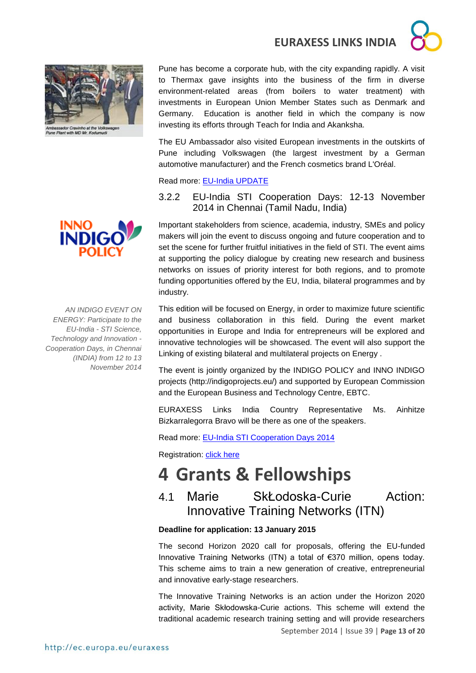



Ambassador Cravinho at the Volkswag<br>Pune Plant with MD Mr. Kodumudi

Pune has become a corporate hub, with the city expanding rapidly. A visit to Thermax gave insights into the business of the firm in diverse environment-related areas (from boilers to water treatment) with investments in European Union Member States such as Denmark and Germany. Education is another field in which the company is now investing its efforts through Teach for India and Akanksha.

The EU Ambassador also visited European investments in the outskirts of Pune including Volkswagen (the largest investment by a German automotive manufacturer) and the French cosmetics brand L'Oréal.

#### Read more: [EU-India UPDATE](http://euindiaenewsletter.com/Vol_7_August_2014/Ambassador.html)

## <span id="page-12-0"></span>3.2.2 EU-India STI Cooperation Days: 12-13 November 2014 in Chennai (Tamil Nadu, India)

Important stakeholders from science, academia, industry, SMEs and policy makers will join the event to discuss ongoing and future cooperation and to set the scene for further fruitful initiatives in the field of STI. The event aims at supporting the policy dialogue by creating new research and business networks on issues of priority interest for both regions, and to promote funding opportunities offered by the EU, India, bilateral programmes and by industry.

This edition will be focused on Energy, in order to maximize future scientific and business collaboration in this field. During the event market opportunities in Europe and India for entrepreneurs will be explored and innovative technologies will be showcased. The event will also support the Linking of existing bilateral and multilateral projects on Energy .

The event is jointly organized by the INDIGO POLICY and INNO INDIGO projects (http://indigoprojects.eu/) and supported by European Commission and the European Business and Technology Centre, EBTC.

EURAXESS Links India Country Representative Ms. Ainhitze Bizkarralegorra Bravo will be there as one of the speakers.

Read more: [EU-India STI Cooperation Days 2014](EU-India%20STI%20Cooperation%20Days%202014)

Registration: [click here](http://www.b2match.eu/euindiacoopdays2014/)

## <span id="page-12-1"></span>**4 Grants & Fellowships**

## <span id="page-12-2"></span>4.1 Marie SkŁodoska-Curie Action: Innovative Training Networks (ITN)

### **Deadline for application: 13 January 2015**

The second Horizon 2020 call for proposals, offering the EU-funded Innovative Training Networks (ITN) a total of €370 million, opens today. This scheme aims to train a new generation of creative, entrepreneurial and innovative early-stage researchers.

September 2014 | Issue 39 | **Page 13 of 20** The Innovative Training Networks is an action under the Horizon 2020 activity, Marie Skłodowska-Curie actions. This scheme will extend the traditional academic research training setting and will provide researchers

**INNO** 

*AN INDIGO EVENT ON ENERGY: Participate to the EU-India - STI Science, Technology and Innovation - Cooperation Days, in Chennai (INDIA) from 12 to 13 November 2014*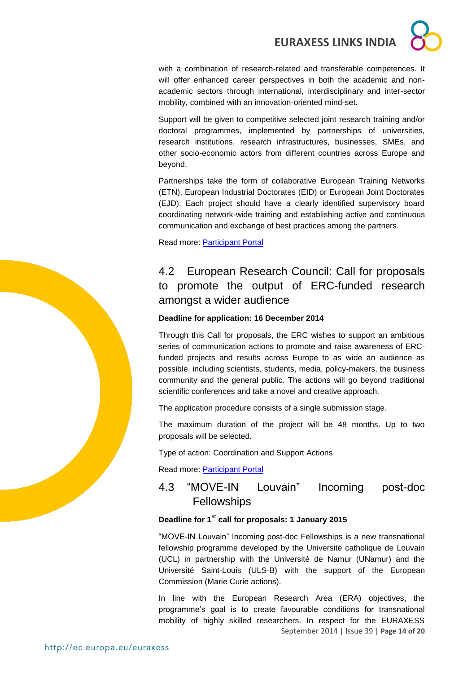with a combination of research-related and transferable competences. It will offer enhanced career perspectives in both the academic and nonacademic sectors through international, interdisciplinary and inter-sector mobility, combined with an innovation-oriented mind-set.

Support will be given to competitive selected joint research training and/or doctoral programmes, implemented by partnerships of universities, research institutions, research infrastructures, businesses, SMEs, and other socio-economic actors from different countries across Europe and beyond.

Partnerships take the form of collaborative European Training Networks (ETN), European Industrial Doctorates (EID) or European Joint Doctorates (EJD). Each project should have a clearly identified supervisory board coordinating network-wide training and establishing active and continuous communication and exchange of best practices among the partners.

Read more: [Participant Portal](http://ec.europa.eu/research/participants/portal/desktop/en/opportunities/h2020/calls/h2020-msca-itn-2015.html)

## <span id="page-13-0"></span>4.2 European Research Council: Call for proposals to promote the output of ERC-funded research amongst a wider audience

### **Deadline for application: 16 December 2014**

Through this Call for proposals, the ERC wishes to support an ambitious series of communication actions to promote and raise awareness of ERCfunded projects and results across Europe to as wide an audience as possible, including scientists, students, media, policy-makers, the business community and the general public. The actions will go beyond traditional scientific conferences and take a novel and creative approach.

The application procedure consists of a single submission stage.

The maximum duration of the project will be 48 months. Up to two proposals will be selected.

Type of action: Coordination and Support Actions

Read more: [Participant Portal](http://ec.europa.eu/research/participants/portal/desktop/en/opportunities/h2020/calls/erc-2014-support-1.html)

## <span id="page-13-1"></span>4.3 "MOVE-IN Louvain" Incoming post-doc **Fellowships**

### **Deadline for 1st call for proposals: 1 January 2015**

"MOVE-IN Louvain" Incoming post-doc Fellowships is a new transnational fellowship programme developed by the Université catholique de Louvain (UCL) in partnership with the Université de Namur (UNamur) and the Université Saint-Louis (ULS-B) with the support of the European Commission (Marie Curie actions).

September 2014 | Issue 39 | **Page 14 of 20** In line with the European Research Area (ERA) objectives, the programme's goal is to create favourable conditions for transnational mobility of highly skilled researchers. In respect for the EURAXESS

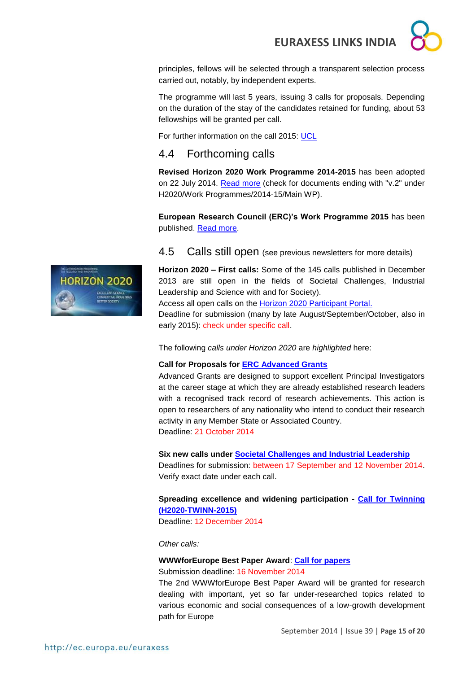principles, fellows will be selected through a transparent selection process carried out, notably, by independent experts.

The programme will last 5 years, issuing 3 calls for proposals. Depending on the duration of the stay of the candidates retained for funding, about 53 fellowships will be granted per call.

For further information on the call 2015: [UCL](http://www.uclouvain.be/en-movein.html)

## <span id="page-14-0"></span>4.4 Forthcoming calls

**Revised Horizon 2020 Work Programme 2014-2015** has been adopted on 22 July 2014. [Read more](http://ec.europa.eu/research/participants/portal/desktop/en/funding/reference_docs.html#-) (check for documents ending with "v.2" under H2020/Work Programmes/2014-15/Main WP).

**European Research Council (ERC)'s Work Programme 2015** has been published. [Read more.](http://erc.europa.eu/sites/default/files/document/file/ERC_Work_Programme_2015.pdf)

### <span id="page-14-1"></span>4.5 Calls still open (see previous newsletters for more details)

**Horizon 2020 – First calls:** Some of the 145 calls published in December 2013 are still open in the fields of Societal Challenges, Industrial Leadership and Science with and for Society).

Access all open calls on the [Horizon 2020 Participant Portal.](http://ec.europa.eu/research/participants/portal/desktop/en/opportunities/h2020)

Deadline for submission (many by late August/September/October, also in early 2015): check under specific call.

The following *calls under Horizon 2020* are *highlighted* here:

#### **Call for Proposals for [ERC Advanced Grants](http://ec.europa.eu/research/participants/portal/desktop/en/opportunities/h2020/calls/erc-2014-adg.html)**

Advanced Grants are designed to support excellent Principal Investigators at the career stage at which they are already established research leaders with a recognised track record of research achievements. This action is open to researchers of any nationality who intend to conduct their research activity in any Member State or Associated Country. Deadline: 21 October 2014

#### **Six new calls under [Societal Challenges and Industrial Leadership](http://ec.europa.eu/research/participants/portal/desktop/en/opportunities/h2020)**

Deadlines for submission: between 17 September and 12 November 2014. Verify exact date under each call.

### **Spreading excellence and widening participation - [Call for Twinning](http://ec.europa.eu/research/participants/portal/desktop/en/opportunities/h2020/calls/h2020-twinn-2015.html)  [\(H2020-TWINN-2015\)](http://ec.europa.eu/research/participants/portal/desktop/en/opportunities/h2020/calls/h2020-twinn-2015.html)**

Deadline: 12 December 2014

*Other calls:* 

#### **WWWforEurope Best Paper Award**: **[Call for papers](http://www.foreurope.eu/fileadmin/events/BestPaperAward/Call_for_Papers_2nd_WWWforEurope_Best_Paper_Award.pdf)**

Submission deadline: 16 November 2014

The 2nd WWWforEurope Best Paper Award will be granted for research dealing with important, yet so far under-researched topics related to various economic and social consequences of a low-growth development path for Europe

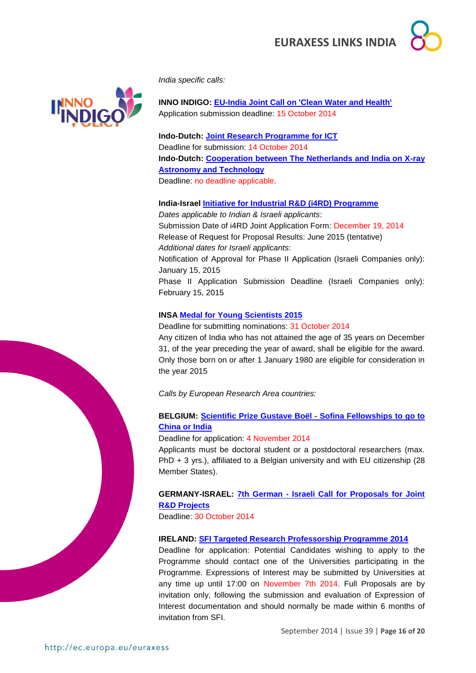



*India specific calls:*

**INNO INDIGO: [EU-India Joint Call on 'Clean Water and Health'](http://indigoprojects.eu/funding/inno-indigo-calls/ipp_1)** Application submission deadline: 15 October 2014

**Indo-Dutch: [Joint Research Programme for ICT](http://www.nwo.nl/en/funding/our-funding-instruments/ew/indo-dutch-joint-research-programme-for-ict/indo-dutch-joint-research-programme-for-ict.html)** Deadline for submission: 14 October 2014 **Indo-Dutch: [Cooperation between The Netherlands and India on X-ray](http://www.nwo.nl/en/funding/our-funding-instruments/ew/cooperation-india-x-ray-astronomy-and-technology/cooperation-india-x-ray-astronomy-and-technology.html)  [Astronomy and Technology](http://www.nwo.nl/en/funding/our-funding-instruments/ew/cooperation-india-x-ray-astronomy-and-technology/cooperation-india-x-ray-astronomy-and-technology.html)**

Deadline: no deadline applicable.

**India-Israel [Initiative for Industrial R&D \(i4RD\) Programme](http://gita.org.in/funding_India-Israel.html)** *Dates applicable to Indian & Israeli applicants*: Submission Date of i4RD Joint Application Form: December 19, 2014 Release of Request for Proposal Results: June 2015 (tentative) *Additional dates for Israeli applicants*: Notification of Approval for Phase II Application (Israeli Companies only): January 15, 2015 Phase II Application Submission Deadline (Israeli Companies only): February 15, 2015

## **INSA [Medal for Young Scientists 2015](http://insaindia.org/pdf/YS_Brochure_2015.pdf)**

Deadline for submitting nominations: 31 October 2014 Any citizen of India who has not attained the age of 35 years on December 31, of the year preceding the year of award, shall be eligible for the award. Only those born on or after 1 January 1980 are eligible for consideration in the year 2015

*Calls by European Research Area countries:* 

## **BELGIUM: [Scientific Prize Gustave Boël -](http://www.fnrs.be/docs/Reglement-et-documents/International/FRS-FNRS_Gustave_Boel_Sofina_Fellowships_Regulations.pdf) Sofina Fellowships to go to [China or India](http://www.fnrs.be/docs/Reglement-et-documents/International/FRS-FNRS_Gustave_Boel_Sofina_Fellowships_Regulations.pdf)**

Deadline for application: 4 November 2014

Applicants must be doctoral student or a postdoctoral researchers (max. PhD + 3 yrs.), affiliated to a Belgian university and with EU citizenship (28 Member States).

**GERMANY-ISRAEL: 7th German - [Israeli Call for Proposals for Joint](http://www.eurekanetwork.org/c/document_library/get_file?uuid=4ff08b6c-3b06-4f8e-891f-d1b76f13c9c0&groupId=10137)  [R&D Projects](http://www.eurekanetwork.org/c/document_library/get_file?uuid=4ff08b6c-3b06-4f8e-891f-d1b76f13c9c0&groupId=10137)**

Deadline: 30 October 2014

#### **IRELAND: [SFI Targeted Research Professorship Programme 2014](http://www.sfi.ie/funding/funding-calls/open-calls/sfi-targeted-research-professorship-programme.html)**

Deadline for application: Potential Candidates wishing to apply to the Programme should contact one of the Universities participating in the Programme. Expressions of Interest may be submitted by Universities at any time up until 17:00 on November 7th 2014. Full Proposals are by invitation only, following the submission and evaluation of Expression of Interest documentation and should normally be made within 6 months of invitation from SFI.



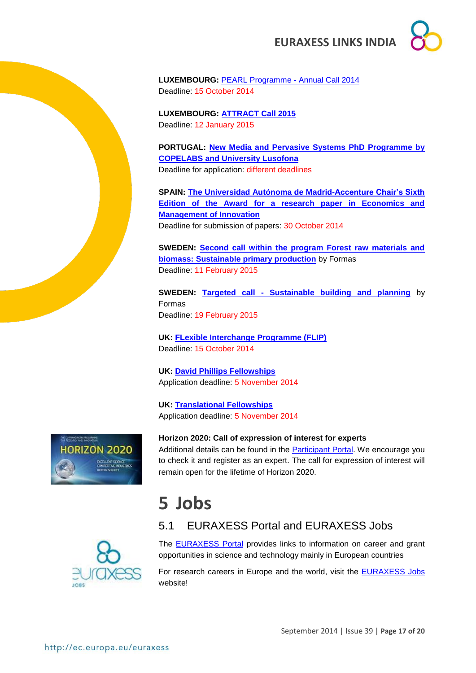

**LUXEMBOURG:** [PEARL Programme -](http://fnr.lu/en/Research-Programmes/Funding-by-Call-Type/Calls/PEARL-Programme-Annual-Call-2014) Annual Call 2014 Deadline: 15 October 2014

**LUXEMBOURG: [ATTRACT Call 2015](http://fnr.lu/en/Research-Programmes/Funding-by-Call-Type/Calls/ATTRACT-2015-Call-for-Proposals)** Deadline: 12 January 2015

**PORTUGAL: [New Media and Pervasive Systems PhD Programme by](http://siti.ulusofona.pt/~nemps/index.php?option=com_content&view=article&id=27&Itemid=151&lang=en)  [COPELABS and University Lusofona](http://siti.ulusofona.pt/~nemps/index.php?option=com_content&view=article&id=27&Itemid=151&lang=en)** Deadline for application: different deadlines

**SPAIN: [The Universidad Autónoma de Madrid-Accenture Chair's Sixth](http://www.uam.es/docencia/degin/catedra/premio2014_en.html)  [Edition of the Award for a research paper in Economics and](http://www.uam.es/docencia/degin/catedra/premio2014_en.html)  [Management of Innovation](http://www.uam.es/docencia/degin/catedra/premio2014_en.html)** Deadline for submission of papers: 30 October 2014

**SWEDEN: [Second call within the program Forest raw materials and](http://www.formas.se/en/financing/calls-for-proposals/second-call-within-the-program-forest-raw-materials-and-biomass-sustainable-primary-production)  [biomass: Sustainable primary production](http://www.formas.se/en/financing/calls-for-proposals/second-call-within-the-program-forest-raw-materials-and-biomass-sustainable-primary-production)** by Formas Deadline: 11 February 2015

**SWEDEN: Targeted call - [Sustainable building and planning](http://www.formas.se/en/financing/calls-for-proposals/targeted-call-sustainable-building-and-planning-)** by Formas Deadline: 19 February 2015

**UK: [FLexible Interchange](http://www.bbsrc.ac.uk/business/people-information/flexible-interchange-programme.aspx?utm_source=feedburner&utm_medium=feed&utm_campaign=Feed%3A+bbsrcfunding+%28BBSRC+-+Funding+opportunities%29) Programme (FLIP)** Deadline: 15 October 2014

**UK: [David Phillips Fellowships](http://www.bbsrc.ac.uk/funding/fellowships/david-phillips.aspx)** Application deadline: 5 November 2014

**UK: [Translational Fellowships](http://www.bbsrc.ac.uk/funding/fellowships/translational-fellowships.aspx)** Application deadline: 5 November 2014



**Horizon 2020: Call of expression of interest for experts**

Additional details can be found in the **Participant Portal**. We encourage you to check it and register as an expert. The call for expression of interest will remain open for the lifetime of Horizon 2020.

## <span id="page-16-0"></span>**5 Jobs**

The [EURAXESS Portal](http://ec.europa.eu/euraxess/index.cfm/general/index) provides links to information on career and grant opportunities in science and technology mainly in European countries

<span id="page-16-1"></span>5.1 EURAXESS Portal and EURAXESS Jobs

For research careers in Europe and the world, visit the [EURAXESS Jobs](http://ec.europa.eu/euraxess/index.cfm/jobs/jvSearch) website!

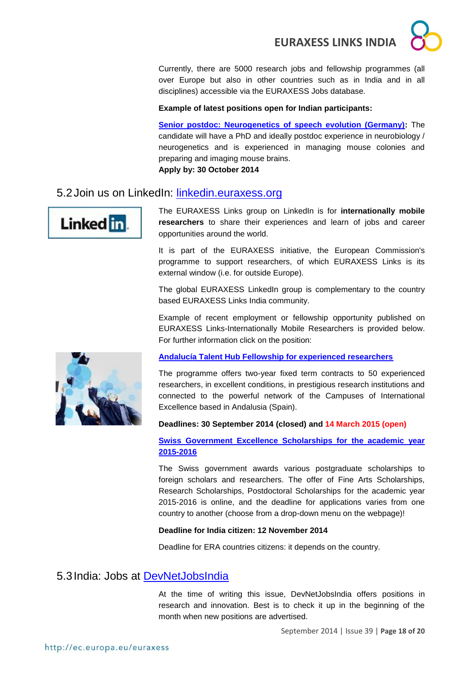Currently, there are 5000 research jobs and fellowship programmes (all over Europe but also in other countries such as in India and in all disciplines) accessible via the EURAXESS Jobs database.

## **Example of latest positions open for Indian participants:**

**[Senior postdoc: Neurogenetics of speech evolution \(Germany\):](http://ec.europa.eu/euraxess/index.cfm/jobs/jobDetails/33946961)** The candidate will have a PhD and ideally postdoc experience in neurobiology / neurogenetics and is experienced in managing mouse colonies and preparing and imaging mouse brains. **Apply by: 30 October 2014**

## <span id="page-17-0"></span>5.2Join us on LinkedIn: [linkedin.euraxess.org](http://www.linkedin.com/groups/EURAXESS-Links-Internationally-Mobile-Researchers-4990889/about)



The EURAXESS Links group on LinkedIn is for **internationally mobile researchers** to share their experiences and learn of jobs and career opportunities around the world.

It is part of the EURAXESS initiative, the European Commission's programme to support researchers, of which EURAXESS Links is its external window (i.e. for outside Europe).

The global EURAXESS LinkedIn group is complementary to the country based EURAXESS Links India community.

Example of recent employment or fellowship opportunity published on EURAXESS Links-Internationally Mobile Researchers is provided below. For further information click on the position:



### **[Andalucía Talent Hub Fellowship for experienced researchers](http://www.juntadeandalucia.es/economiainnovacionyciencia/talentia/?q=node/12546)**

The programme offers two-year fixed term contracts to 50 experienced researchers, in excellent conditions, in prestigious research institutions and connected to the powerful network of the Campuses of International Excellence based in Andalusia (Spain).

#### **Deadlines: 30 September 2014 (closed) and 14 March 2015 (open)**

### **Swiss [Government Excellence Scholarships for the academic year](http://www.sbfi.admin.ch/themen/01366/01380/02175/index.html?lang=en)  [2015-2016](http://www.sbfi.admin.ch/themen/01366/01380/02175/index.html?lang=en)**

The Swiss government awards various postgraduate scholarships to foreign scholars and researchers. The offer of Fine Arts Scholarships, Research Scholarships, Postdoctoral Scholarships for the academic year 2015-2016 is online, and the deadline for applications varies from one country to another (choose from a drop-down menu on the webpage)!

#### **Deadline for India citizen: 12 November 2014**

Deadline for ERA countries citizens: it depends on the country.

## <span id="page-17-1"></span>5.3India: Jobs at [DevNetJobsIndia](http://www.devnetjobsindia.org/)

At the time of writing this issue, DevNetJobsIndia offers positions in research and innovation. Best is to check it up in the beginning of the month when new positions are advertised.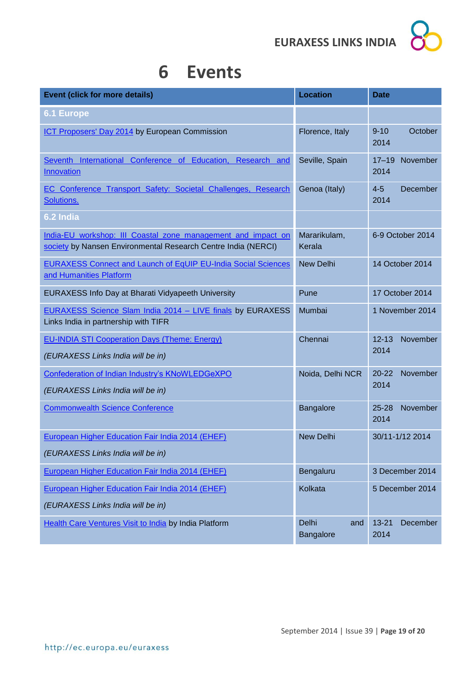

## <span id="page-18-0"></span>**6 Events**

| <b>Event (click for more details)</b>                                                                                         | <b>Location</b>           | <b>Date</b>                   |
|-------------------------------------------------------------------------------------------------------------------------------|---------------------------|-------------------------------|
| <b>6.1 Europe</b>                                                                                                             |                           |                               |
| ICT Proposers' Day 2014 by European Commission                                                                                | Florence, Italy           | $9 - 10$<br>October<br>2014   |
| Seventh International Conference of Education, Research and<br>Innovation                                                     | Seville, Spain            | November<br>$17 - 19$<br>2014 |
| EC Conference Transport Safety: Societal Challenges, Research<br>Solutions.                                                   | Genoa (Italy)             | $4 - 5$<br>December<br>2014   |
| 6.2 India                                                                                                                     |                           |                               |
| India-EU workshop: III Coastal zone management and impact on<br>society by Nansen Environmental Research Centre India (NERCI) | Mararikulam,<br>Kerala    | 6-9 October 2014              |
| <b>EURAXESS Connect and Launch of EqUIP EU-India Social Sciences</b><br>and Humanities Platform                               | <b>New Delhi</b>          | 14 October 2014               |
| EURAXESS Info Day at Bharati Vidyapeeth University                                                                            | Pune                      | 17 October 2014               |
| EURAXESS Science Slam India 2014 - LIVE finals by EURAXESS<br>Links India in partnership with TIFR                            | Mumbai                    | 1 November 2014               |
| <b>EU-INDIA STI Cooperation Days (Theme: Energy)</b>                                                                          | Chennai                   | $12 - 13$<br>November         |
| (EURAXESS Links India will be in)                                                                                             |                           | 2014                          |
| Confederation of Indian Industry's KNoWLEDGeXPO<br>(EURAXESS Links India will be in)                                          | Noida, Delhi NCR          | November<br>$20 - 22$<br>2014 |
| <b>Commonwealth Science Conference</b>                                                                                        | Bangalore                 | November<br>$25 - 28$<br>2014 |
| <b>European Higher Education Fair India 2014 (EHEF)</b>                                                                       | <b>New Delhi</b>          | 30/11-1/12 2014               |
| (EURAXESS Links India will be in)                                                                                             |                           |                               |
| European Higher Education Fair India 2014 (EHEF)                                                                              | Bengaluru                 | 3 December 2014               |
| European Higher Education Fair India 2014 (EHEF)                                                                              | Kolkata                   | 5 December 2014               |
| (EURAXESS Links India will be in)                                                                                             |                           |                               |
| Health Care Ventures Visit to India by India Platform                                                                         | Delhi<br>and<br>Bangalore | December<br>$13 - 21$<br>2014 |